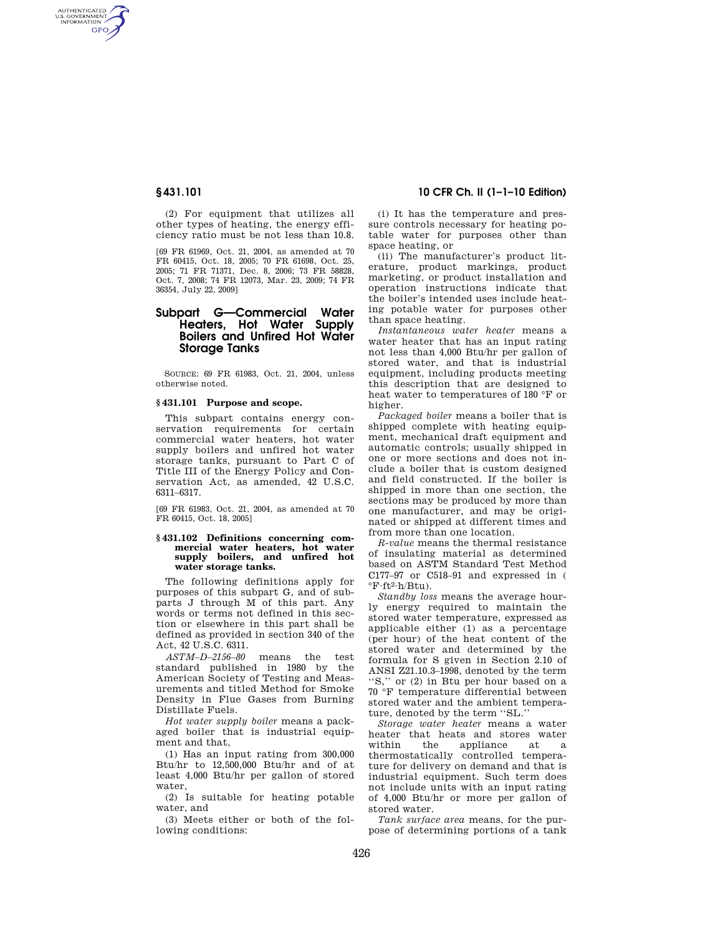AUTHENTICATED<br>U.S. GOVERNMENT<br>INFORMATION **GPO** 

> (2) For equipment that utilizes all other types of heating, the energy efficiency ratio must be not less than 10.8.

> [69 FR 61969, Oct. 21, 2004, as amended at 70 FR 60415, Oct. 18, 2005; 70 FR 61698, Oct. 25, 2005; 71 FR 71371, Dec. 8, 2006; 73 FR 58828, Oct. 7, 2008; 74 FR 12073, Mar. 23, 2009; 74 FR 36354, July 22, 2009]

# **Subpart G—Commercial Water Heaters, Hot Water Supply Boilers and Unfired Hot Water Storage Tanks**

SOURCE: 69 FR 61983, Oct. 21, 2004, unless otherwise noted.

## **§ 431.101 Purpose and scope.**

This subpart contains energy conservation requirements for certain commercial water heaters, hot water supply boilers and unfired hot water storage tanks, pursuant to Part C of Title III of the Energy Policy and Conservation Act, as amended, 42 U.S.C. 6311–6317.

[69 FR 61983, Oct. 21, 2004, as amended at 70 FR 60415, Oct. 18, 2005]

### **§ 431.102 Definitions concerning commercial water heaters, hot water supply boilers, and unfired hot water storage tanks.**

The following definitions apply for purposes of this subpart G, and of subparts J through M of this part. Any words or terms not defined in this section or elsewhere in this part shall be defined as provided in section 340 of the Act, 42 U.S.C. 6311.

*ASTM–D–2156–80* means the test standard published in 1980 by the American Society of Testing and Measurements and titled Method for Smoke Density in Flue Gases from Burning Distillate Fuels.

*Hot water supply boiler* means a packaged boiler that is industrial equipment and that,

(1) Has an input rating from 300,000 Btu/hr to 12,500,000 Btu/hr and of at least 4,000 Btu/hr per gallon of stored water,

(2) Is suitable for heating potable water, and

(3) Meets either or both of the following conditions:

## **§ 431.101 10 CFR Ch. II (1–1–10 Edition)**

(i) It has the temperature and pressure controls necessary for heating potable water for purposes other than space heating, or

(ii) The manufacturer's product literature, product markings, product marketing, or product installation and operation instructions indicate that the boiler's intended uses include heating potable water for purposes other than space heating.

*Instantaneous water heater* means a water heater that has an input rating not less than 4,000 Btu/hr per gallon of stored water, and that is industrial equipment, including products meeting this description that are designed to heat water to temperatures of 180 °F or higher.

*Packaged boiler* means a boiler that is shipped complete with heating equipment, mechanical draft equipment and automatic controls; usually shipped in one or more sections and does not include a boiler that is custom designed and field constructed. If the boiler is shipped in more than one section, the sections may be produced by more than one manufacturer, and may be originated or shipped at different times and from more than one location.

*R-value* means the thermal resistance of insulating material as determined based on ASTM Standard Test Method C177–97 or C518–91 and expressed in (  $\mathrm{F}\cdot\mathrm{ft}^{2}\cdot\mathrm{h}/\mathrm{B}\mathrm{t}$ u).

*Standby loss* means the average hourly energy required to maintain the stored water temperature, expressed as applicable either (1) as a percentage (per hour) of the heat content of the stored water and determined by the formula for S given in Section 2.10 of ANSI Z21.10.3–1998, denoted by the term ''S,'' or (2) in Btu per hour based on a 70 °F temperature differential between stored water and the ambient temperature, denoted by the term ''SL.''

*Storage water heater* means a water heater that heats and stores water<br>within the appliance at a appliance at a thermostatically controlled temperature for delivery on demand and that is industrial equipment. Such term does not include units with an input rating of 4,000 Btu/hr or more per gallon of stored water.

*Tank surface area* means, for the purpose of determining portions of a tank